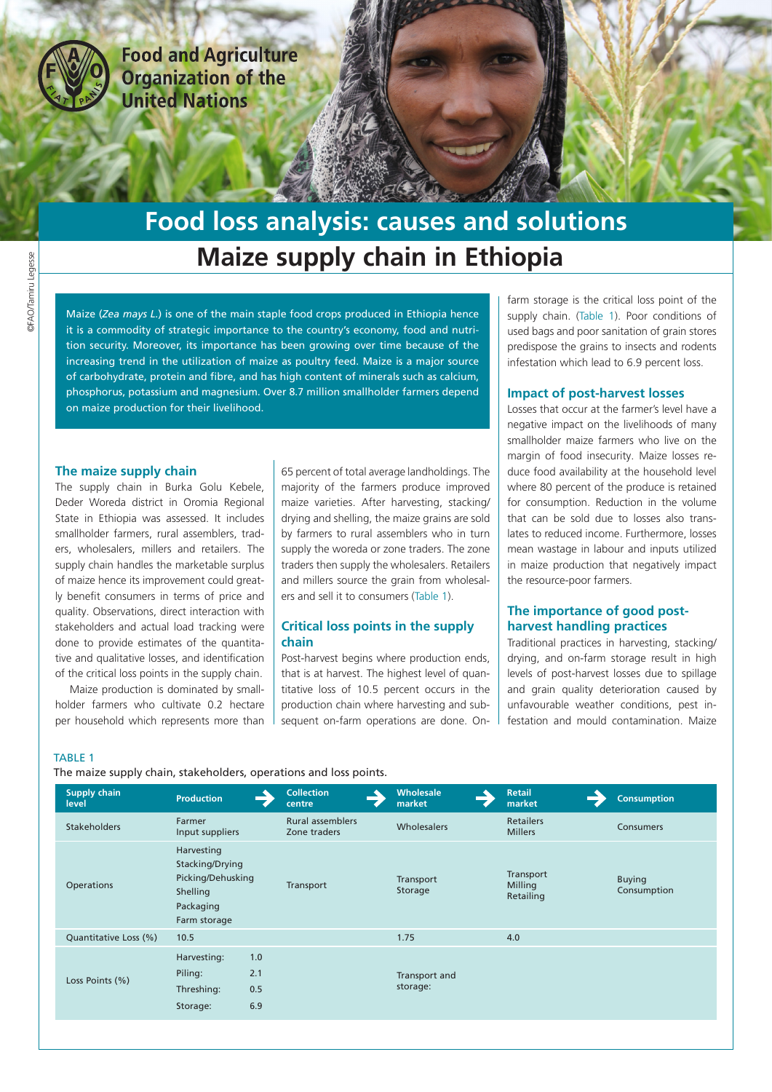

**Food and Agriculture Organization of the United Nations** 

# **Maize supply chain in Ethiopia Food loss analysis: causes and solutions**

Maize (*Zea mays L.*) is one of the main staple food crops produced in Ethiopia hence it is a commodity of strategic importance to the country's economy, food and nutrition security. Moreover, its importance has been growing over time because of the increasing trend in the utilization of maize as poultry feed. Maize is a major source of carbohydrate, protein and fibre, and has high content of minerals such as calcium, phosphorus, potassium and magnesium. Over 8.7 million smallholder farmers depend on maize production for their livelihood.

#### **The maize supply chain**

The supply chain in Burka Golu Kebele, Deder Woreda district in Oromia Regional State in Ethiopia was assessed. It includes smallholder farmers, rural assemblers, traders, wholesalers, millers and retailers. The supply chain handles the marketable surplus of maize hence its improvement could greatly benefit consumers in terms of price and quality. Observations, direct interaction with stakeholders and actual load tracking were done to provide estimates of the quantitative and qualitative losses, and identification of the critical loss points in the supply chain.

Maize production is dominated by smallholder farmers who cultivate 0.2 hectare per household which represents more than

65 percent of total average landholdings. The majority of the farmers produce improved maize varieties. After harvesting, stacking/ drying and shelling, the maize grains are sold by farmers to rural assemblers who in turn supply the woreda or zone traders. The zone traders then supply the wholesalers. Retailers and millers source the grain from wholesalers and sell it to consumers (Table 1).

### **Critical loss points in the supply chain**

Post-harvest begins where production ends, that is at harvest. The highest level of quantitative loss of 10.5 percent occurs in the production chain where harvesting and subsequent on-farm operations are done. Onfarm storage is the critical loss point of the supply chain. (Table 1). Poor conditions of used bags and poor sanitation of grain stores predispose the grains to insects and rodents infestation which lead to 6.9 percent loss.

#### **Impact of post-harvest losses**

Losses that occur at the farmer's level have a negative impact on the livelihoods of many smallholder maize farmers who live on the margin of food insecurity. Maize losses reduce food availability at the household level where 80 percent of the produce is retained for consumption. Reduction in the volume that can be sold due to losses also translates to reduced income. Furthermore, losses mean wastage in labour and inputs utilized in maize production that negatively impact the resource-poor farmers.

## **The importance of good postharvest handling practices**

Traditional practices in harvesting, stacking/ drying, and on-farm storage result in high levels of post-harvest losses due to spillage and grain quality deterioration caused by unfavourable weather conditions, pest infestation and mould contamination. Maize

#### TABLE 1

# The maize supply chain, stakeholders, operations and loss points.

| Supply chain<br>level | <b>Production</b>                                                                           | <b>Collection</b><br>centre             | <b>Wholesale</b><br>market | <b>Retail</b><br>market            | <b>Consumption</b>           |
|-----------------------|---------------------------------------------------------------------------------------------|-----------------------------------------|----------------------------|------------------------------------|------------------------------|
| <b>Stakeholders</b>   | Farmer<br>Input suppliers                                                                   | <b>Rural assemblers</b><br>Zone traders | Wholesalers                | <b>Retailers</b><br><b>Millers</b> | Consumers                    |
| <b>Operations</b>     | Harvesting<br>Stacking/Drying<br>Picking/Dehusking<br>Shelling<br>Packaging<br>Farm storage | Transport                               | Transport<br>Storage       | Transport<br>Milling<br>Retailing  | <b>Buying</b><br>Consumption |
| Quantitative Loss (%) | 10.5                                                                                        |                                         | 1.75                       | 4.0                                |                              |
| Loss Points (%)       | Harvesting:<br>1.0<br>2.1<br>Piling:<br>Threshing:<br>0.5<br>6.9<br>Storage:                |                                         | Transport and<br>storage:  |                                    |                              |
|                       |                                                                                             |                                         |                            |                                    |                              |